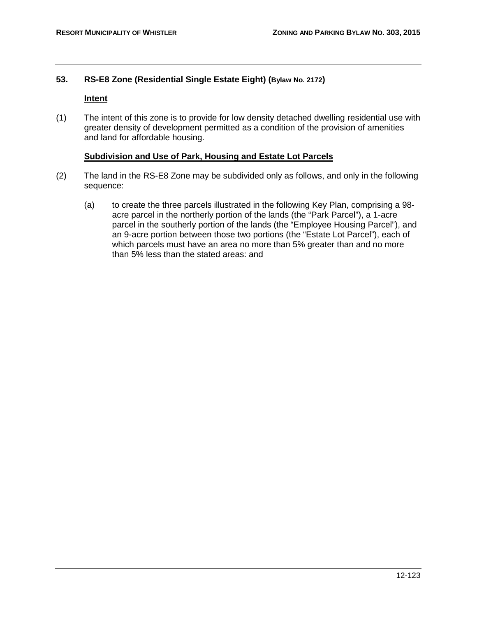## **53. RS-E8 Zone (Residential Single Estate Eight) (Bylaw No. 2172)**

## **Intent**

(1) The intent of this zone is to provide for low density detached dwelling residential use with greater density of development permitted as a condition of the provision of amenities and land for affordable housing.

## **Subdivision and Use of Park, Housing and Estate Lot Parcels**

- (2) The land in the RS-E8 Zone may be subdivided only as follows, and only in the following sequence:
	- (a) to create the three parcels illustrated in the following Key Plan, comprising a 98 acre parcel in the northerly portion of the lands (the "Park Parcel"), a 1-acre parcel in the southerly portion of the lands (the "Employee Housing Parcel"), and an 9-acre portion between those two portions (the "Estate Lot Parcel"), each of which parcels must have an area no more than 5% greater than and no more than 5% less than the stated areas: and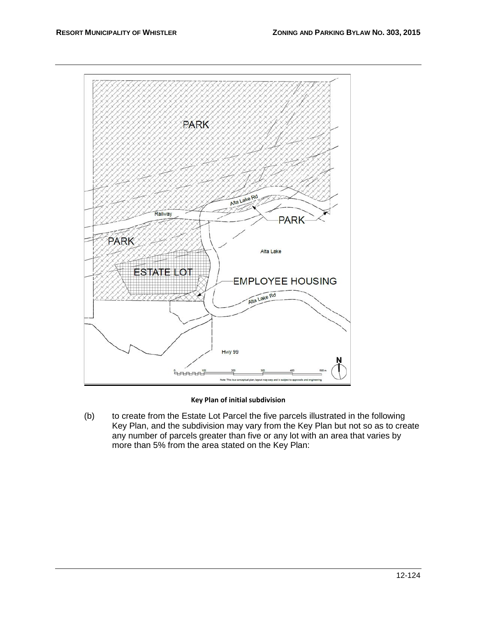

## **Key Plan of initial subdivision**

(b) to create from the Estate Lot Parcel the five parcels illustrated in the following Key Plan, and the subdivision may vary from the Key Plan but not so as to create any number of parcels greater than five or any lot with an area that varies by more than 5% from the area stated on the Key Plan: